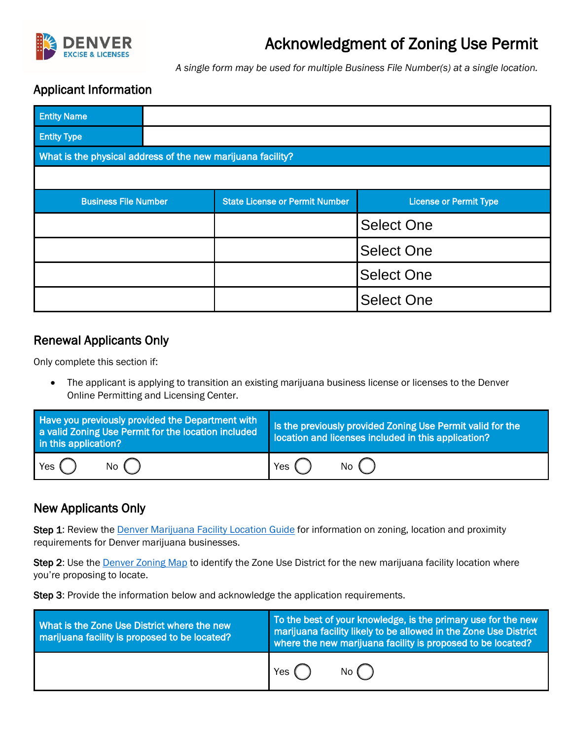

# Acknowledgment of Zoning Use Permit

*A single form may be used for multiple Business File Number(s) at a single location.* 

#### Applicant Information

| <b>Entity Name</b>                                          |  |                                       |                               |  |
|-------------------------------------------------------------|--|---------------------------------------|-------------------------------|--|
| <b>Entity Type</b>                                          |  |                                       |                               |  |
| What is the physical address of the new marijuana facility? |  |                                       |                               |  |
|                                                             |  |                                       |                               |  |
| <b>Business File Number</b>                                 |  | <b>State License or Permit Number</b> | <b>License or Permit Type</b> |  |
|                                                             |  |                                       | <b>Select One</b>             |  |
|                                                             |  |                                       | <b>Select One</b>             |  |
|                                                             |  |                                       | <b>Select One</b>             |  |
|                                                             |  |                                       | <b>Select One</b>             |  |

#### Renewal Applicants Only

Only complete this section if:

• The applicant is applying to transition an existing marijuana business license or licenses to the Denver Online Permitting and Licensing Center.

| Have you previously provided the Department with<br>a valid Zoning Use Permit for the location included<br>in this application? | Is the previously provided Zoning Use Permit valid for the<br>location and licenses included in this application? |  |
|---------------------------------------------------------------------------------------------------------------------------------|-------------------------------------------------------------------------------------------------------------------|--|
| $Yes$ $()$                                                                                                                      | No (                                                                                                              |  |
| No $\mathbf$                                                                                                                    | Yes $($                                                                                                           |  |

### New Applicants Only

Step 1: Review the [Denver Marijuana Facility Location Guide](https://www.denvergov.org/files/assets/public/business-licensing/documents/marijuana_facility_location_guide.pdf) for information on zoning, location and proximity requirements for Denver marijuana businesses.

Step 2: Use the **Denver Zoning Map** to identify the Zone Use District for the new marijuana facility location where you're proposing to locate.

Step 3: Provide the information below and acknowledge the application requirements.

| What is the Zone Use District where the new<br>marijuana facility is proposed to be located? | To the best of your knowledge, is the primary use for the new<br>marijuana facility likely to be allowed in the Zone Use District<br>where the new marijuana facility is proposed to be located? |  |
|----------------------------------------------------------------------------------------------|--------------------------------------------------------------------------------------------------------------------------------------------------------------------------------------------------|--|
|                                                                                              | Yes<br>No C                                                                                                                                                                                      |  |